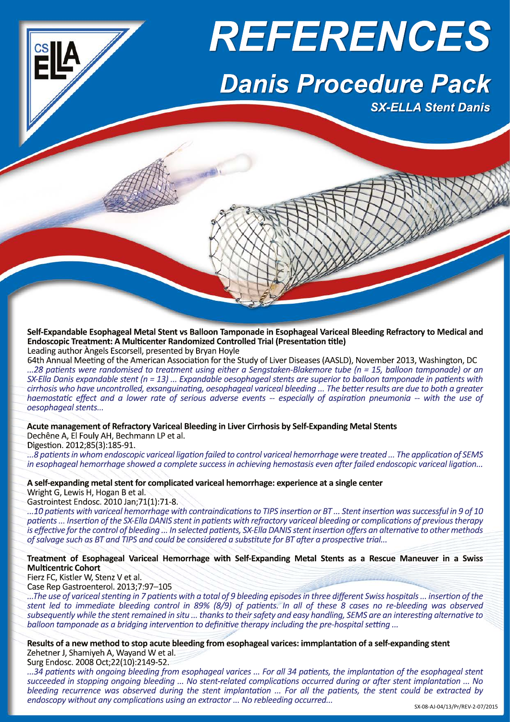

**Self-Expandable Esophageal Metal Stent vs Balloon Tamponade in Esophageal Variceal Bleeding Refractory to Medical and Endoscopic Treatment: A Multicenter Randomized Controlled Trial (Presentation title)** Leading author Àngels Escorsell, presented by Bryan Hoyle

64th Annual Meeting of the American Association for the Study of Liver Diseases(AASLD), November 2013, Washington, DC ...28 patients were randomised to treatment using either a Sengstaken-Blakemore tube (n = 15, balloon tamponade) or an SX-Ella Danis expandable stent ( $n = 13$ ) ... Expandable oesophageal stents are superior to balloon tamponade in patients with cirrhosis who have uncontrolled, exsanguinating, oesophageal variceal bleeding ... The better results are due to both a greater haemostatic effect and a lower rate of serious adverse events -- especially of aspiration pneumonia -- with the use of *oesophageal stents...* 

**Acute management of Refractory Variceal Bleeding in Liver Cirrhosis by Self-Expanding Metal Stents**

Dechêne A, El Fouly AH, Bechmann LP et al.

Digestion. 2012;85(3):185-91.

...8 patients in whom endoscopic variceal ligation failed to control variceal hemorrhage were treated ... The application of SEMS in esophageal hemorrhage showed a complete success in achieving hemostasis even after failed endoscopic variceal ligation...

**A self-expanding metalstent for complicated variceal hemorrhage: experience at a single center**

Wright G, Lewis H, Hogan B et al.<br>Gastrointest Endosc. 2010 Jan; 71(1): 71-8.

...10 patients with variceal hemorrhage with contraindications to TIPS insertion or BT ... Stent insertion was successful in 9 of 10 patients ... Insertion of the SX-Ella DANIS stent in patients with refractory variceal bleeding or complications of previous therapy is effective for the control of bleeding ... In selected patients, SX-Ella DANIS stent insertion offers an alternative to other methods of salvage such as BT and TIPS and could be considered a substitute for BT after a prospective trial...

**Treatment of Esophageal Variceal Hemorrhage with Self-Expanding Metal Stents as a Rescue Maneuver in a Swiss Multicentric Cohort**

Fierz FC, Kistler W, Stenz V et al.<br>Case Rep Gastroenterol. 2013;7:97-105

The use of variceal stenting in 7 patients with a total of 9 bleeding episodes in three different Swiss hospitals ... insertion of the stent led to immediate bleeding control in 89% (8/9) of patients. In all of these 8 cases no re-bleeding was observed subsequently while the stent remained in situ ... thanks to their safety and easy handling, SEMS are an interesting alternative to balloon tamponade as a bridging intervention to definitive therapy including the pre-hospital setting ...

Results of a new method to stop acute bleeding from esophageal varices: immplantation of a self-expanding stent Zehetner J, Shamiyeh A, Wayand W et al.

Surg Endosc. 2008 Oct;22(10):2149-52.

...34 patients with ongoing bleeding from esophageal varices ... For all 34 patients, the implantation of the esophageal stent succeeded in stopping ongoing bleeding ... No stent-related complications occurred during or after stent implantation ... No bleeding recurrence was observed during the stent implantation ... For all the patients, the stent could be extracted by *endoscopy without any complications using an extractor ... No rebleeding occurred...*